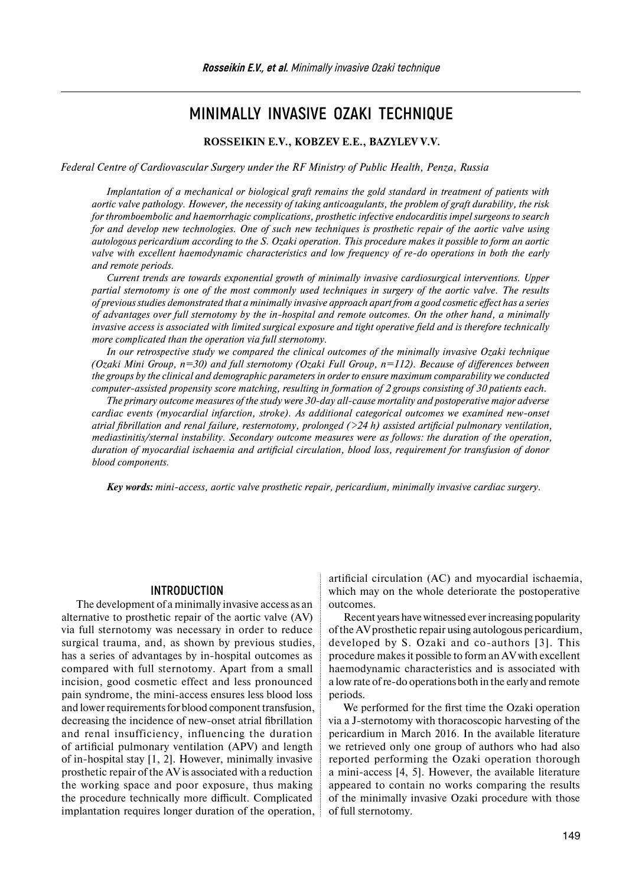# **MINIMALLY INVASIVE OZAKI TECHNIQUE**

#### **ROSSEIKIN E.V., KOBZEV E.E., BAZYLEV V.V.**

*Federal Centre of Cardiovascular Surgery under the RF Ministry of Public Health, Penza, Russia* 

*Implantation of a mechanical or biological graft remains the gold standard in treatment of patients with aortic valve pathology. However, the necessity of taking anticoagulants, the problem of graft durability, the risk for thromboembolic and haemorrhagic complications, prosthetic infective endocarditis impel surgeons to search for and develop new technologies. One of such new techniques is prosthetic repair of the aortic valve using autologous pericardium according to the S. Ozaki operation. This procedure makes it possible to form an aortic valve with excellent haemodynamic characteristics and low frequency of re-do operations in both the early and remote periods.*

*Current trends are towards exponential growth of minimally invasive cardiosurgical interventions. Upper partial sternotomy is one of the most commonly used techniques in surgery of the aortic valve. The results of previous studies demonstrated that a minimally invasive approach apart from a good cosmetic effect has a series of advantages over full sternotomy by the in-hospital and remote outcomes. On the other hand, a minimally invasive access is associated with limited surgical exposure and tight operative field and is therefore technically more complicated than the operation via full sternotomy.* 

*In our retrospective study we compared the clinical outcomes of the minimally invasive Ozaki technique (Ozaki Mini Group, n=30) and full sternotomy (Ozaki Full Group, n=112). Because of differences between the groups by the clinical and demographic parameters in order to ensure maximum comparability we conducted computer-assisted propensity score matching, resulting in formation of 2 groups consisting of 30 patients each.*

*The primary outcome measures of the study were 30-day all-cause mortality and postoperative major adverse cardiac events (myocardial infarction, stroke). As additional categorical outcomes we examined new-onset atrial fibrillation and renal failure, resternotomy, prolonged (>24 h) assisted artificial pulmonary ventilation, mediastinitis/sternal instability. Secondary outcome measures were as follows: the duration of the operation, duration of myocardial ischaemia and artificial circulation, blood loss, requirement for transfusion of donor blood components.*

*Key words: mini-access, aortic valve prosthetic repair, pericardium, minimally invasive cardiac surgery.*

#### **INTRODUCTION**

The development of a minimally invasive access as an alternative to prosthetic repair of the aortic valve (AV) via full sternotomy was necessary in order to reduce surgical trauma, and, as shown by previous studies, has a series of advantages by in-hospital outcomes as compared with full sternotomy. Apart from a small incision, good cosmetic effect and less pronounced pain syndrome, the mini-access ensures less blood loss and lower requirements for blood component transfusion, decreasing the incidence of new-onset atrial fibrillation and renal insufficiency, influencing the duration of artificial pulmonary ventilation (APV) and length of in-hospital stay [1, 2]. However, minimally invasive prosthetic repair of the AV is associated with a reduction the working space and poor exposure, thus making the procedure technically more difficult. Complicated implantation requires longer duration of the operation,

artificial circulation (AC) and myocardial ischaemia, which may on the whole deteriorate the postoperative outcomes.

Recent years have witnessed ever increasing popularity of the AV prosthetic repair using autologous pericardium, developed by S. Ozaki and co-authors [3]. This procedure makes it possible to form an AV with excellent haemodynamic characteristics and is associated with a low rate ofre-do operations both in the early and remote periods.

We performed for the first time the Ozaki operation via a J-sternotomy with thoracoscopic harvesting of the pericardium in March 2016. In the available literature we retrieved only one group of authors who had also reported performing the Ozaki operation thorough a mini-access [4, 5]. However, the available literature appeared to contain no works comparing the results of the minimally invasive Ozaki procedure with those of full sternotomy.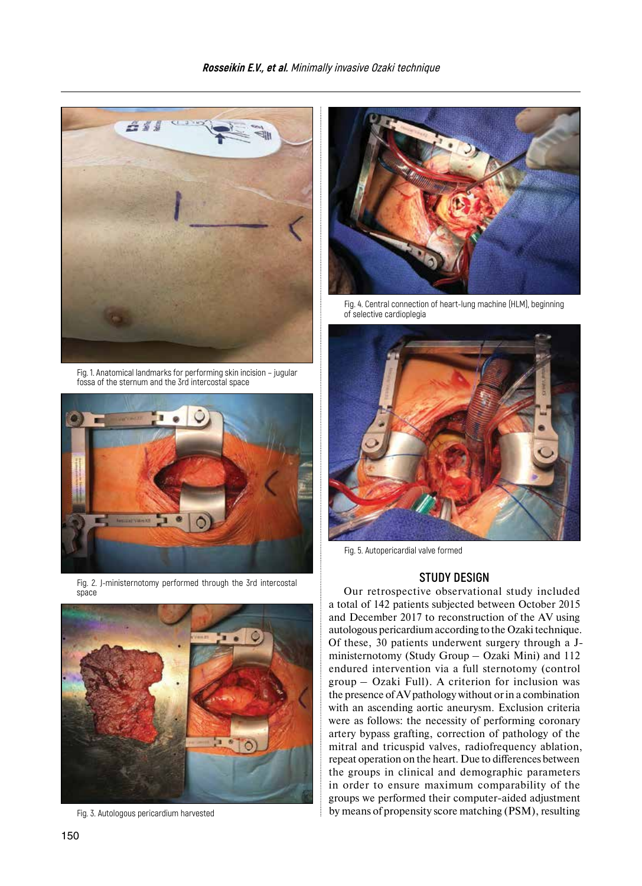

Fig. 1. Anatomical landmarks for performing skin incision – jugular fossa of the sternum and the 3rd intercostal space



Fig. 2. J-ministernotomy performed through the 3rd intercostal space



Fig. 3. Autologous pericardium harvested



Fig. 4. Central connection of heart-lung machine (HLM), beginning of selective cardioplegia



Fig. 5. Autopericardial valve formed

### **STUDY DESIGN**

Our retrospective observational study included a total of 142 patients subjected between October 2015 and December 2017 to reconstruction of the AV using autologous pericardium according to the Ozaki technique. Of these, 30 patients underwent surgery through a Jministernotomy (Study Group – Ozaki Mini) and 112 endured intervention via a full sternotomy (control group – Ozaki Full). A criterion for inclusion was the presence ofAV pathology without or in a combination with an ascending aortic aneurysm. Exclusion criteria were as follows: the necessity of performing coronary artery bypass grafting, correction of pathology of the mitral and tricuspid valves, radiofrequency ablation, repeat operation on the heart. Due to differences between the groups in clinical and demographic parameters in order to ensure maximum comparability of the groups we performed their computer-aided adjustment by means of propensity score matching (PSM), resulting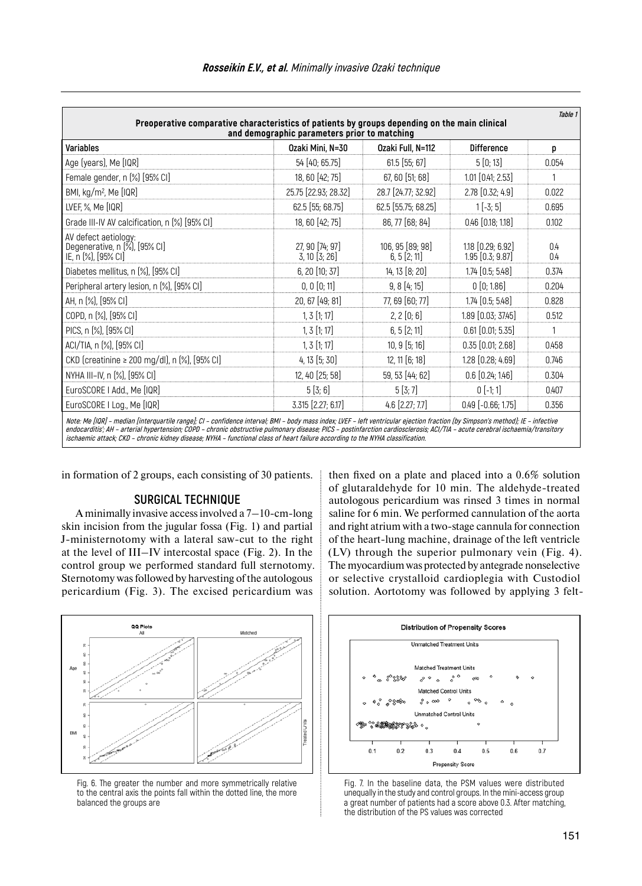| <b>Variables</b>                                                             | Ozaki Mini. N=30                     | Ozaki Full. N=112                | <b>Difference</b>                         | p          |
|------------------------------------------------------------------------------|--------------------------------------|----------------------------------|-------------------------------------------|------------|
| Age (years), Me [IQR]                                                        | 54 [40; 65.75]                       | $61.5$ [55; 67]                  | 5[0;13]                                   | 0.054      |
| Female gender, n [%] [95% CI]                                                | 18, 60 [42; 75]                      | 67, 60 [51; 68]                  | $1.01$ [0.41; 2.53]                       |            |
| BMI, kg/m <sup>2</sup> , Me [IQR]                                            | 25.75 [22.93; 28.32]                 | 28.7 [24.77; 32.92]              | 2.78 [0.32; 4.9]                          | 0.022      |
| LVEF, %, Me [IQR]                                                            | 62.5 [55; 68.75]                     | 62.5 [55.75; 68.25]              | $1[-3; 5]$                                | 0.695      |
| Grade III-IV AV calcification, n [%] [95% CI]                                | 18, 60 [42; 75]                      | 86, 77 [68; 84]                  | $0.46$ $[0.18; 1.18]$                     | 0.102      |
| AV defect aetiology:<br>Degenerative, n (%), [95% CI]<br>IE, n (%), [95% CI] | 27, 90 [74; 97]<br>$3, 10$ $[3, 26]$ | 106, 95 [89; 98]<br>6, 5 [2; 11] | 1.18 [0.29; 6.92]<br>$1.95$ $[0.3; 9.87]$ | 0.4<br>0.4 |
| Diabetes mellitus, n (%), [95% CI]                                           | 6, 20 [10; 37]                       | 14, 13 [8; 20]                   | $1.74$ $[0.5; 5.48]$                      | 0.374      |
| Peripheral artery lesion, n (%), [95% CI]                                    | 0, 0 [0; 11]                         | 9, 8 [4; 15]                     | 0[0;1.86]                                 | 0.204      |
| AH, n (%), [95% CI]                                                          | 20, 67 [49; 81]                      | 77, 69 [60; 77]                  | $1.74$ $[0.5; 5.48]$                      | 0.828      |
| COPD, n (%), [95% CI]                                                        | $1, 3$ $[1, 17]$                     | 2, 2 [0; 6]                      | 1.89 [0.03; 37.45]                        | 0.512      |
| PICS, n (%), [95% CI]                                                        | $1, 3$ $[1, 17]$                     | 6, 5 [2; 11]                     | $0.61$ [0.01; 5.35]                       |            |
| ACI/TIA, n [%], [95% CI]                                                     | 1, 3 [1; 17]                         | $10, 9$ [5; 16]                  | $0.35$ $[0.01; 2.68]$                     | 0.458      |
| CKD (creatinine ≥ 200 mg/dl), n (%), [95% Cl]                                | 4, 13 [5; 30]                        | 12, 11 [6; 18]                   | 1.28 [0.28; 4.69]                         | 0.746      |
| NYHA III-IV, n (%), [95% CI]                                                 | 12, 40 [25; 58]                      | 59, 53 [44; 62]                  | $0.6$ $[0.24; 1.46]$                      | 0.304      |
| EuroSCORE I Add., Me [IQR]                                                   | 5[3;6]                               | 5[3;7]                           | $0$ [-1; 1]                               | 0.407      |
| EuroSCORE I Log., Me [IQR]                                                   | 3.315 [2.27; 6.17]                   | $4.6$ [2.27; 7.7]                | $0.49$ [ $-0.66$ ; 1.75]                  | 0.356      |

in formation of 2 groups, each consisting of 30 patients.

### **SURGICAL TECHNIQUE**

A minimally invasive access involved a 7–10-cm-long skin incision from the jugular fossa (Fig. 1) and partial J-ministernotomy with a lateral saw-cut to the right at the level of III–IV intercostal space (Fig. 2). In the control group we performed standard full sternotomy. Sternotomy was followed by harvesting of the autologous pericardium (Fig. 3). The excised pericardium was

then fixed on a plate and placed into a 0.6% solution of glutaraldehyde for 10 min. The aldehyde-treated autologous pericardium was rinsed 3 times in normal saline for 6 min. We performed cannulation of the aorta and right atrium with a two-stage cannula for connection of the heart-lung machine, drainage of the left ventricle (LV) through the superior pulmonary vein (Fig. 4). The myocardium was protected by antegrade nonselective or selective crystalloid cardioplegia with Custodiol solution. Aortotomy was followed by applying 3 felt-



Fig. 6. The greater the number and more symmetrically relative to the central axis the points fall within the dotted line, the more balanced the groups are



Fig. 7. In the baseline data, the PSM values were distributed unequally in the study and control groups. In the mini-access group a great number of patients had a score above 0.3. After matching, the distribution of the PS values was corrected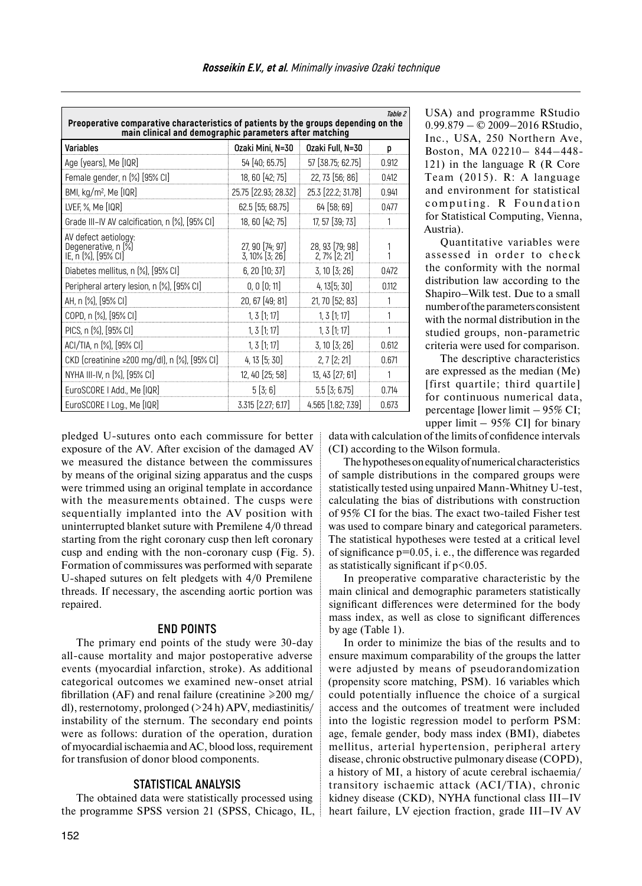| Table 2<br>Preoperative comparative characteristics of patients by the groups depending on the<br>main clinical and demographic parameters after matching |                                   |                                    |       |  |  |  |  |
|-----------------------------------------------------------------------------------------------------------------------------------------------------------|-----------------------------------|------------------------------------|-------|--|--|--|--|
| Variables                                                                                                                                                 | Ozaki Mini, N=30                  | Ozaki Full, N=30                   | p     |  |  |  |  |
| Age (years), Me [IQR]                                                                                                                                     | 54 [40; 65.75]                    | 57 [38.75; 62.75]                  | 0.912 |  |  |  |  |
| Female gender, n [%] [95% CI]                                                                                                                             | 18, 60 [42; 75]                   | 22, 73 [56; 86]                    | 0.412 |  |  |  |  |
| BMI, kg/m <sup>2</sup> , Me [IQR]                                                                                                                         | 25.75 [22.93; 28.32]              | 25.3 [22.2; 31.78]                 | 0.941 |  |  |  |  |
| LVEF, %, Me [IQR]                                                                                                                                         | 62.5 [55; 68.75]                  | 64 [58; 69]                        | 0.477 |  |  |  |  |
| Grade III-IV AV calcification, n [%], [95% CI]                                                                                                            | 18, 60 [42; 75]                   | 17, 57 [39; 73]                    | 1     |  |  |  |  |
| AV defect aetiology:<br>Degenerative, n [%]<br>IE, n (%), [95% CI]                                                                                        | 27, 90 [74; 97]<br>3, 10% [3; 26] | 28, 93 [79; 98]<br>$2,7%$ $[2,21]$ | 1     |  |  |  |  |
| Diabetes mellitus, n (%), [95% CI]                                                                                                                        | 6, 20 [10; 37]                    | 3, 10 [3; 26]                      | 0.472 |  |  |  |  |
| Peripheral artery lesion, n (%), [95% CI]                                                                                                                 | 0, 0 [0; 11]                      | 4, 13[5; 30]                       | 0.112 |  |  |  |  |
| AH, n (%), [95% CI]                                                                                                                                       | 20, 67 [49; 81]                   | 21, 70 [52; 83]                    |       |  |  |  |  |
| COPD, n (%), [95% CI]                                                                                                                                     | $1, 3$ [1; 17]                    | $1, 3$ [1; 17]                     | 1     |  |  |  |  |
| PICS, n (%), [95% CI]                                                                                                                                     | $1, 3$ [1; 17]                    | $1, 3$ [1; 17]                     | 1     |  |  |  |  |
| ACI/TIA, n (%), [95% CI]                                                                                                                                  | $1, 3$ [1; 17]                    | $3, 10$ $[3, 26]$                  | 0.612 |  |  |  |  |
| CKD (creatinine ≥200 mg/dl), n (%), [95% Cl]                                                                                                              | 4, 13 [5; 30]                     | $2, 7$ [ $2; 21$ ]                 | 0.671 |  |  |  |  |
| NYHA III-IV, n (%), [95% CI]                                                                                                                              | 12, 40 [25; 58]                   | 13, 43 [27; 61]                    | 1     |  |  |  |  |
| EuroSCORE   Add., Me [IQR]                                                                                                                                | 5[3;6]                            | $5.5$ [3; 6.75]                    | 0.714 |  |  |  |  |
| EuroSCORE I Log., Me [IQR]                                                                                                                                | 3.315 [2.27; 6.17]                | 4.565 [1.82; 7.39]                 | 0.673 |  |  |  |  |

USA) and programme RStudio 0.99.879 – © 2009–2016 RStudio, Inc., USA, 250 Northern Ave, Boston, MA 02210– 844–448- 121) in the language R (R Core Team (2015). R: A language and environment for statistical computing. R Foundation for Statistical Computing, Vienna, Austria).

Quantitative variables were assessed in order to check the conformity with the normal distribution law according to the Shapiro–Wilk test. Due to a small number ofthe parameters consistent with the normal distribution in the studied groups, non-parametric criteria were used for comparison.

The descriptive characteristics are expressed as the median (Me) [first quartile; third quartile] for continuous numerical data, percentage [lower limit – 95% CI; upper limit  $-$  95% CI] for binary

pledged U-sutures onto each commissure for better exposure of the AV. After excision of the damaged AV we measured the distance between the commissures by means of the original sizing apparatus and the cusps were trimmed using an original template in accordance with the measurements obtained. The cusps were sequentially implanted into the AV position with uninterrupted blanket suture with Premilene 4/0 thread starting from the right coronary cusp then left coronary cusp and ending with the non-coronary cusp (Fig. 5). Formation of commissures was performed with separate U-shaped sutures on felt pledgets with 4/0 Premilene threads. If necessary, the ascending aortic portion was repaired.

### **END POINTS**

The primary end points of the study were 30-day all-cause mortality and major postoperative adverse events (myocardial infarction, stroke). As additional categorical outcomes we examined new-onset atrial fibrillation (AF) and renal failure (creatinine  $\geq 200$  mg/ dl), resternotomy, prolonged  $(>24 h)$  APV, mediastinitis/ instability of the sternum. The secondary end points were as follows: duration of the operation, duration of myocardial ischaemia andAC, blood loss, requirement for transfusion of donor blood components.

#### **STATISTICAL ANALYSIS**

The obtained data were statistically processed using the programme SPSS version 21 (SPSS, Chicago, IL,

data with calculation of the limits of confidence intervals (CI) according to the Wilson formula.

The hypotheses on equality of numerical characteristics of sample distributions in the compared groups were statistically tested using unpaired Mann-Whitney U-test, calculating the bias of distributions with construction of 95% CI for the bias. The exact two-tailed Fisher test was used to compare binary and categorical parameters. The statistical hypotheses were tested at a critical level of significance  $p=0.05$ , i. e., the difference was regarded as statistically significant if  $p<0.05$ .

In preoperative comparative characteristic by the main clinical and demographic parameters statistically significant differences were determined for the body mass index, as well as close to significant differences by age (Table 1).

In order to minimize the bias of the results and to ensure maximum comparability of the groups the latter were adjusted by means of pseudorandomization (propensity score matching, PSM). 16 variables which could potentially influence the choice of a surgical access and the outcomes of treatment were included into the logistic regression model to perform PSM: age, female gender, body mass index (BMI), diabetes mellitus, arterial hypertension, peripheral artery disease, chronic obstructive pulmonary disease (COPD), a history of MI, a history of acute cerebral ischaemia/ transitory ischaemic attack (ACI/TIA), chronic kidney disease (CKD), NYHA functional class III–IV heart failure, LV ejection fraction, grade III–IV AV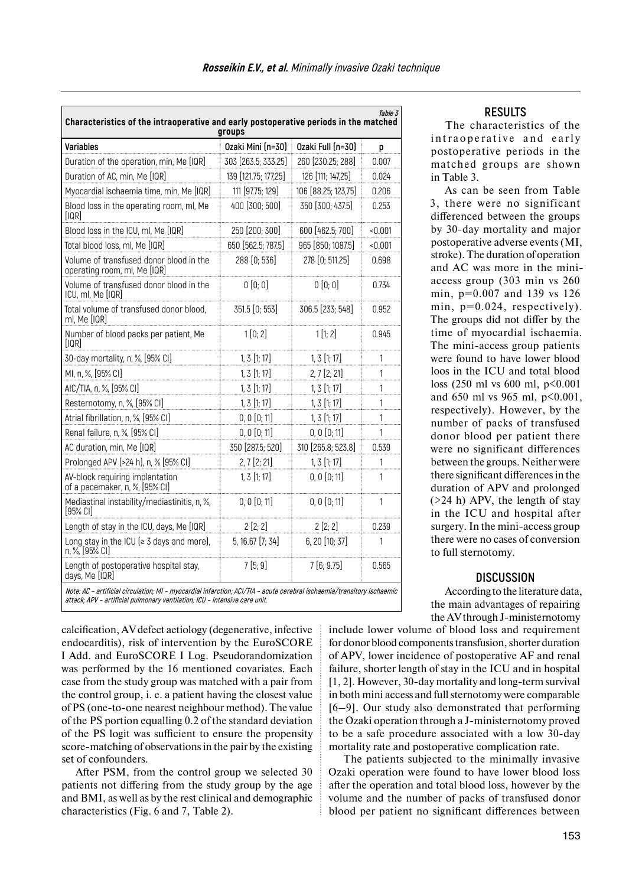| <i>Table 3</i><br>Characteristics of the intraoperative and early postoperative periods in the matched<br>groups       |                      |                     |          |  |  |  |
|------------------------------------------------------------------------------------------------------------------------|----------------------|---------------------|----------|--|--|--|
| <b>Variables</b>                                                                                                       | Ozaki Mini (n=30)    | Ozaki Full (n=30)   | p        |  |  |  |
| Duration of the operation, min, Me [IQR]                                                                               | 303 [263.5; 333.25]  | 260 [230.25; 288]   | 0.007    |  |  |  |
| Duration of AC, min, Me [IQR]                                                                                          | 139 [121.75; 177,25] | 126 [111; 147,25]   | 0.024    |  |  |  |
| Myocardial ischaemia time, min, Me [IQR]                                                                               | 111 [97.75; 129]     | 106 [88.25; 123,75] | 0.206    |  |  |  |
| Blood loss in the operating room, ml, Me<br>[IQR]                                                                      | 400 [300; 500]       | 350 [300; 437.5]    | 0.253    |  |  |  |
| Blood loss in the ICU, ml, Me [IQR]                                                                                    | 250 [200; 300]       | 600 [462.5; 700]    | $-0.001$ |  |  |  |
| Total blood loss, ml, Me [IQR]                                                                                         | 650 [562.5; 787.5]   | 965 [850; 1087.5]   | < 0.001  |  |  |  |
| Volume of transfused donor blood in the<br>operating room, ml, Me [IQR]                                                | 288 [0; 536]         | 278 [0; 511.25]     | 0.698    |  |  |  |
| Volume of transfused donor blood in the<br>ICU, ml, Me [IQR]                                                           | 0 [0; 0]             | 0[0;0]              | 0.734    |  |  |  |
| Total volume of transfused donor blood.<br>ml, Me [IQR]                                                                | $351.5$ [0; 553]     | 306.5 [233; 548]    | 0.952    |  |  |  |
| Number of blood packs per patient, Me<br>[IQR]                                                                         | 1[0; 2]              | 1[1; 2]             | 0.945    |  |  |  |
| 30-day mortality, n, %, [95% CI]                                                                                       | $1, 3$ [1; 17]       | $1, 3$ [1; 17]      | 1        |  |  |  |
| MI, n, %, [95% CI]                                                                                                     | $1, 3$ [1; 17]       | $2, 7$ [ $2; 21$ ]  | 1        |  |  |  |
| AIC/TIA, n, %, [95% CI]                                                                                                | 1, 3 [1; 17]         | $1, 3$ [1; 17]      | 1        |  |  |  |
| Resternotomy, n, %, [95% CI]                                                                                           | $1, 3$ [1; 17]       | $1, 3$ [1; 17]      | 1        |  |  |  |
| Atrial fibrillation, n, %, [95% CI]                                                                                    | 0, 0 [0; 11]         | $1, 3$ [1; 17]      | 1        |  |  |  |
| Renal failure, n, %, [95% CI]                                                                                          | 0, 0 [0; 11]         | 0, 0 [0; 11]        | 1        |  |  |  |
| AC duration, min, Me [IQR]                                                                                             | 350 [287.5; 520]     | 310 [265.8; 523.8]  | 0.539    |  |  |  |
| Prolonged APV (>24 h), n, % [95% CI]                                                                                   | $2, 7$ [ $2; 21$ ]   | $1, 3$ [1; 17]      | 1        |  |  |  |
| AV-block requiring implantation<br>of a pacemaker, n, %, [95% CI]                                                      | $1, 3$ [1; 17]       | 0, 0 [0; 11]        | 1        |  |  |  |
| Mediastinal instability/mediastinitis, n, %,<br>$[95%$ CI]                                                             | 0, 0 [0; 11]         | 0, 0 [0; 11]        | 1        |  |  |  |
| Length of stay in the ICU, days, Me [IQR]                                                                              | 2[2;2]               | 2[2;2]              | 0.239    |  |  |  |
| Long stay in the ICU ( $\geq$ 3 days and more),<br>n, %, [95% CI]                                                      | 5, 16.67 [7; 34]     | 6, 20 [10; 37]      | 1        |  |  |  |
| Length of postoperative hospital stay,<br>days, Me [IQR]                                                               | 7[5;9]               | 7[6; 9.75]          | 0.565    |  |  |  |
| Note: AC - artificial circulation; MI - myocardial infarction; ACI/TIA - acute cerebral ischaemia/transitory ischaemic |                      |                     |          |  |  |  |

#### **RESULTS**

The characteristics of the intraoperative and early postoperative periods in the matched groups are shown in Table 3.

As can be seen from Table 3, there were no significant differenced between the groups by 30-day mortality and major postoperative adverse events (MI, stroke). The duration of operation and AC was more in the miniaccess group (303 min vs 260 min, p=0.007 and 139 vs 126 min,  $p=0.024$ , respectively). The groups did not differ by the time of myocardial ischaemia. The mini-access group patients were found to have lower blood loos in the ICU and total blood loss (250 ml vs 600 ml, p<0.001 and 650 ml vs 965 ml, p<0.001, respectively). However, by the number of packs of transfused donor blood per patient there were no significant differences between the groups. Neither were there significant differences in the duration of APV and prolonged (>24 h) APV, the length of stay in the ICU and hospital after surgery. In the mini-access group there were no cases of conversion to full sternotomy.

#### **DISCUSSION**

According to the literature data, the main advantages of repairing theAV through J-ministernotomy

**attack; APV – artificial pulmonary ventilation; ICU – intensive care unit.**

calcification, AV defect aetiology (degenerative, infective endocarditis), risk of intervention by the EuroSCORE I Add. and EuroSCORE I Log. Pseudorandomization was performed by the 16 mentioned covariates. Each case from the study group was matched with a pair from the control group, i. e. a patient having the closest value of PS (one-to-one nearest neighbour method). The value of the PS portion equalling 0.2 of the standard deviation of the PS logit was sufficient to ensure the propensity score-matching of observations in the pair by the existing set of confounders.

After PSM, from the control group we selected 30 patients not differing from the study group by the age and BMI, as well as by the rest clinical and demographic characteristics (Fig. 6 and 7, Table 2).

include lower volume of blood loss and requirement for donor blood components transfusion, shorter duration of APV, lower incidence of postoperative AF and renal failure, shorter length of stay in the ICU and in hospital [1, 2]. However, 30-day mortality and long-term survival in both mini access and full sternotomy were comparable [6–9]. Our study also demonstrated that performing the Ozaki operation through a J-ministernotomy proved to be a safe procedure associated with a low 30-day mortality rate and postoperative complication rate.

The patients subjected to the minimally invasive Ozaki operation were found to have lower blood loss after the operation and total blood loss, however by the volume and the number of packs of transfused donor blood per patient no significant differences between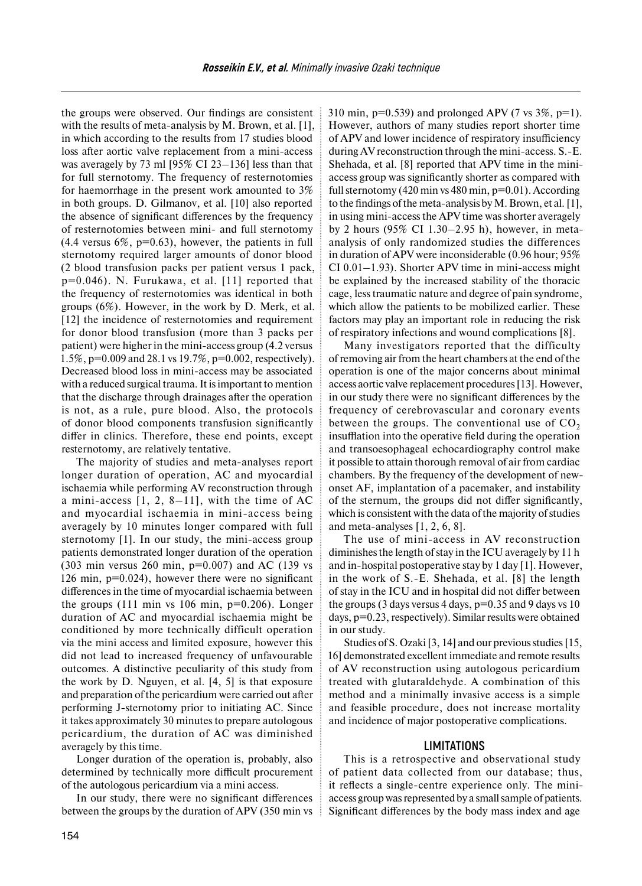the groups were observed. Our findings are consistent with the results of meta-analysis by M. Brown, et al. [1], in which according to the results from 17 studies blood loss after aortic valve replacement from a mini-access was averagely by 73 ml [95% CI 23–136] less than that for full sternotomy. The frequency of resternotomies for haemorrhage in the present work amounted to 3% in both groups. D. Gilmanov, et al. [10] also reported the absence of significant differences by the frequency of resternotomies between mini- and full sternotomy  $(4.4 \text{ versus } 6\%, \text{ p=0.63})$ , however, the patients in full sternotomy required larger amounts of donor blood (2 blood transfusion packs per patient versus 1 pack, p=0.046). N. Furukawa, et al. [11] reported that the frequency of resternotomies was identical in both groups (6%). However, in the work by D. Merk, et al. [12] the incidence of resternotomies and requirement for donor blood transfusion (more than 3 packs per patient) were higher in the mini-access group (4.2 versus 1.5%, p=0.009 and 28.1 vs 19.7%, p=0.002, respectively). Decreased blood loss in mini-access may be associated with a reduced surgical trauma. It is important to mention that the discharge through drainages after the operation is not, as a rule, pure blood. Also, the protocols of donor blood components transfusion significantly differ in clinics. Therefore, these end points, except resternotomy, are relatively tentative.

The majority of studies and meta-analyses report longer duration of operation, AC and myocardial ischaemia while performing AV reconstruction through a mini-access [1, 2, 8–11], with the time of AC and myocardial ischaemia in mini-access being averagely by 10 minutes longer compared with full sternotomy [1]. In our study, the mini-access group patients demonstrated longer duration of the operation (303 min versus 260 min,  $p=0.007$ ) and AC (139 vs 126 min, p=0.024), however there were no significant differences in the time of myocardial ischaemia between the groups  $(111 \text{ min vs } 106 \text{ min}, p=0.206)$ . Longer duration of AC and myocardial ischaemia might be conditioned by more technically difficult operation via the mini access and limited exposure, however this did not lead to increased frequency of unfavourable outcomes. A distinctive peculiarity of this study from the work by D. Nguyen, et al. [4, 5] is that exposure and preparation of the pericardium were carried out after performing J-sternotomy prior to initiating AC. Since it takes approximately 30 minutes to prepare autologous pericardium, the duration of AC was diminished averagely by this time.

Longer duration of the operation is, probably, also determined by technically more difficult procurement of the autologous pericardium via a mini access.

In our study, there were no significant differences between the groups by the duration of APV (350 min vs 310 min,  $p=0.539$ ) and prolonged APV (7 vs  $3\%$ ,  $p=1$ ). However, authors of many studies report shorter time of APV and lower incidence of respiratory insufficiency during AV reconstruction through the mini-access. S.-E. Shehada, et al. [8] reported that APV time in the miniaccess group was significantly shorter as compared with full sternotomy (420 min vs 480 min,  $p=0.01$ ). According to the findings of the meta-analysis byM. Brown, et al. [1], in using mini-access the APV time was shorter averagely by 2 hours (95% CI 1.30–2.95 h), however, in metaanalysis of only randomized studies the differences in duration of APV were inconsiderable (0.96 hour; 95% CI 0.01–1.93). Shorter APV time in mini-access might be explained by the increased stability of the thoracic cage, less traumatic nature and degree of pain syndrome, which allow the patients to be mobilized earlier. These factors may play an important role in reducing the risk of respiratory infections and wound complications [8].

Many investigators reported that the difficulty of removing air from the heart chambers at the end of the operation is one of the major concerns about minimal access aortic valve replacement procedures [13]. However, in our study there were no significant differences by the frequency of cerebrovascular and coronary events between the groups. The conventional use of  $CO<sub>2</sub>$ insufflation into the operative field during the operation and transoesophageal echocardiography control make it possible to attain thorough removal of air from cardiac chambers. By the frequency of the development of newonset AF, implantation of a pacemaker, and instability of the sternum, the groups did not differ significantly, which is consistent with the data of the majority of studies and meta-analyses [1, 2, 6, 8].

The use of mini-access in AV reconstruction diminishes the length ofstay in the ICU averagely by 11 h and in-hospital postoperative stay by 1 day [1]. However, in the work of S.-E. Shehada, et al. [8] the length of stay in the ICU and in hospital did not differ between the groups (3 days versus 4 days,  $p=0.35$  and 9 days vs 10 days, p=0.23, respectively). Similar results were obtained in our study.

Studies of S. Ozaki [3, 14] and our previous studies [15, 16] demonstrated excellent immediate and remote results of AV reconstruction using autologous pericardium treated with glutaraldehyde. A combination of this method and a minimally invasive access is a simple and feasible procedure, does not increase mortality and incidence of major postoperative complications.

#### **LIMITATIONS**

This is a retrospective and observational study of patient data collected from our database; thus, it reflects a single-centre experience only. The miniaccess group was represented by a small sample of patients. Significant differences by the body mass index and age